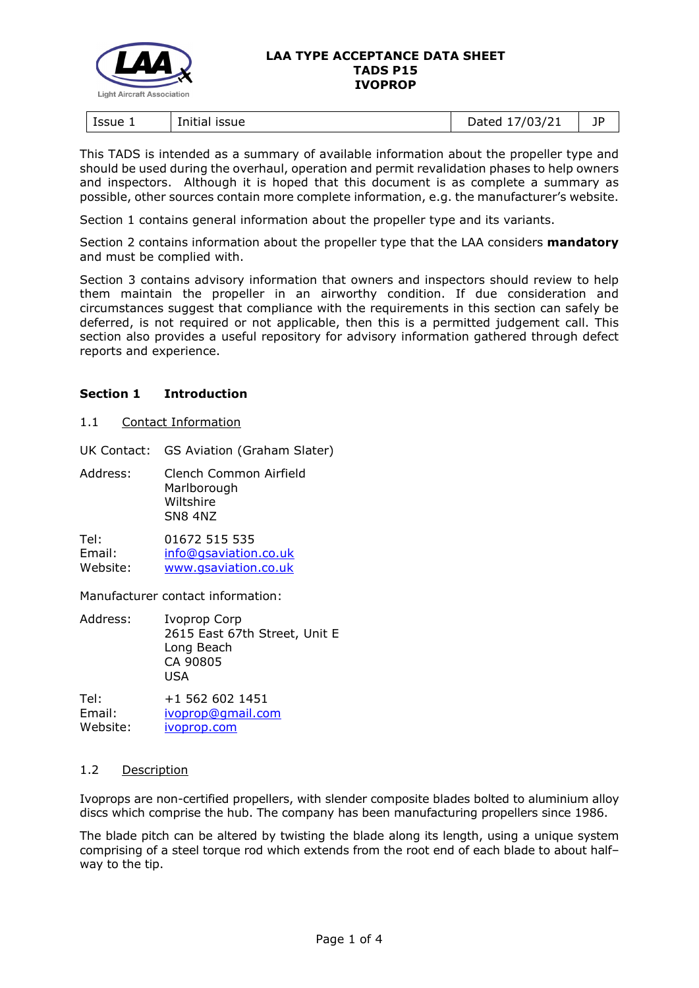

#### **LAA TYPE ACCEPTANCE DATA SHEET TADS P15 IVOPROP**

| Issue 1<br>issue<br>Initia! | 103/21<br>)ated<br>31 Z<br><u>. . </u><br>$-$ ---- | 1D<br><u>. .</u> |
|-----------------------------|----------------------------------------------------|------------------|
|-----------------------------|----------------------------------------------------|------------------|

This TADS is intended as a summary of available information about the propeller type and should be used during the overhaul, operation and permit revalidation phases to help owners and inspectors. Although it is hoped that this document is as complete a summary as possible, other sources contain more complete information, e.g. the manufacturer's website.

Section 1 contains general information about the propeller type and its variants.

Section 2 contains information about the propeller type that the LAA considers **mandatory** and must be complied with.

Section 3 contains advisory information that owners and inspectors should review to help them maintain the propeller in an airworthy condition. If due consideration and circumstances suggest that compliance with the requirements in this section can safely be deferred, is not required or not applicable, then this is a permitted judgement call. This section also provides a useful repository for advisory information gathered through defect reports and experience.

## **Section 1 Introduction**

1.1 Contact Information

UK Contact: GS Aviation (Graham Slater)

Address: Clench Common Airfield **Marlborough** Wiltshire SN8 4NZ

Tel: 01672 515 535 Email: [info@gsaviation.co.uk](mailto:info@gsaviation.co.uk) Website: [www.gsaviation.co.uk](https://www.gsaviation.co.uk/)

Manufacturer contact information:

Address: Ivoprop Corp 2615 East 67th Street, Unit E Long Beach CA 90805  $IISA$ 

Tel: +1 562 602 1451 Email: [ivoprop@gmail.com](mailto:ivoprop@gmail.com) Website: **[ivoprop.com](https://ivoprop.com/)** 

## 1.2 Description

Ivoprops are non-certified propellers, with slender composite blades bolted to aluminium alloy discs which comprise the hub. The company has been manufacturing propellers since 1986.

The blade pitch can be altered by twisting the blade along its length, using a unique system comprising of a steel torque rod which extends from the root end of each blade to about half– way to the tip.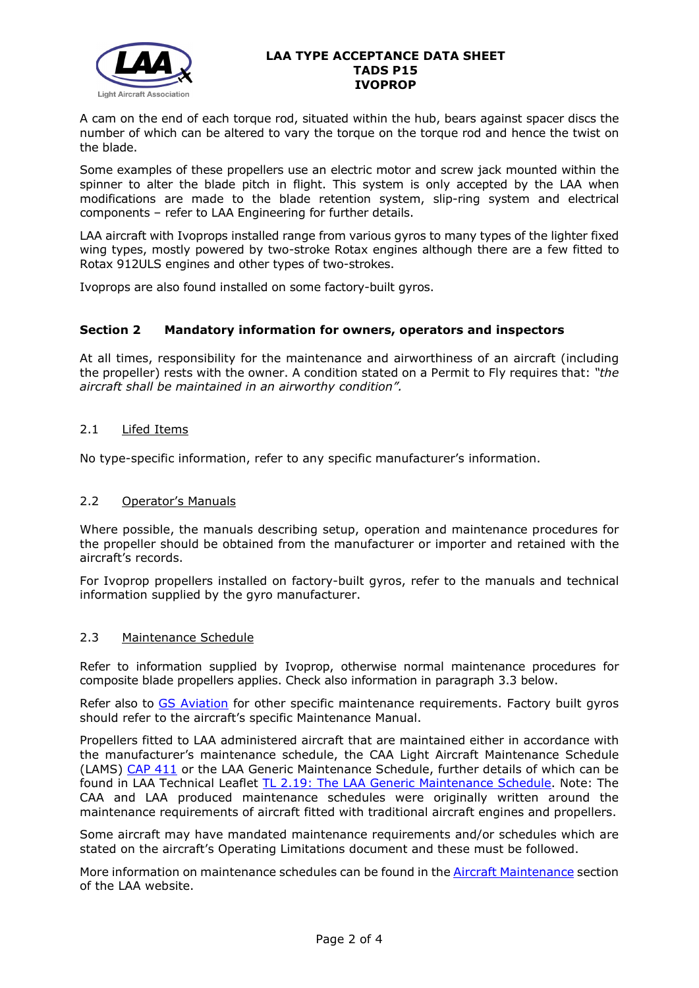

### **LAA TYPE ACCEPTANCE DATA SHEET TADS P15 IVOPROP**

A cam on the end of each torque rod, situated within the hub, bears against spacer discs the number of which can be altered to vary the torque on the torque rod and hence the twist on the blade.

Some examples of these propellers use an electric motor and screw jack mounted within the spinner to alter the blade pitch in flight. This system is only accepted by the LAA when modifications are made to the blade retention system, slip-ring system and electrical components – refer to LAA Engineering for further details.

LAA aircraft with Ivoprops installed range from various gyros to many types of the lighter fixed wing types, mostly powered by two-stroke Rotax engines although there are a few fitted to Rotax 912ULS engines and other types of two-strokes.

Ivoprops are also found installed on some factory-built gyros.

## **Section 2 Mandatory information for owners, operators and inspectors**

At all times, responsibility for the maintenance and airworthiness of an aircraft (including the propeller) rests with the owner. A condition stated on a Permit to Fly requires that: *"the aircraft shall be maintained in an airworthy condition".* 

## 2.1 Lifed Items

No type-specific information, refer to any specific manufacturer's information.

## 2.2 Operator's Manuals

Where possible, the manuals describing setup, operation and maintenance procedures for the propeller should be obtained from the manufacturer or importer and retained with the aircraft's records.

For Ivoprop propellers installed on factory-built gyros, refer to the manuals and technical information supplied by the gyro manufacturer.

## 2.3 Maintenance Schedule

Refer to information supplied by Ivoprop, otherwise normal maintenance procedures for composite blade propellers applies. Check also information in paragraph 3.3 below.

Refer also to [GS Aviation](https://www.gsaviation.co.uk/) for other specific maintenance requirements. Factory built gyros should refer to the aircraft's specific Maintenance Manual.

Propellers fitted to LAA administered aircraft that are maintained either in accordance with the manufacturer's maintenance schedule, the CAA Light Aircraft Maintenance Schedule (LAMS) [CAP 411](http://www.caa.co.uk/CAP411) or the LAA Generic Maintenance Schedule, further details of which can be found in LAA Technical Leaflet [TL 2.19: The LAA Generic Maintenance Schedule.](http://www.lightaircraftassociation.co.uk/engineering/TechnicalLeaflets/Operating%20An%20Aircraft/TL%202.19%20The%20LAA%20Generic%20Maintenance%20Schedule.pdf) Note: The CAA and LAA produced maintenance schedules were originally written around the maintenance requirements of aircraft fitted with traditional aircraft engines and propellers.

Some aircraft may have mandated maintenance requirements and/or schedules which are stated on the aircraft's Operating Limitations document and these must be followed.

More information on maintenance schedules can be found in the [Aircraft Maintenance](http://www.lightaircraftassociation.co.uk/engineering/Maintenance/Aircraft_Maintenance.html) section of the LAA website.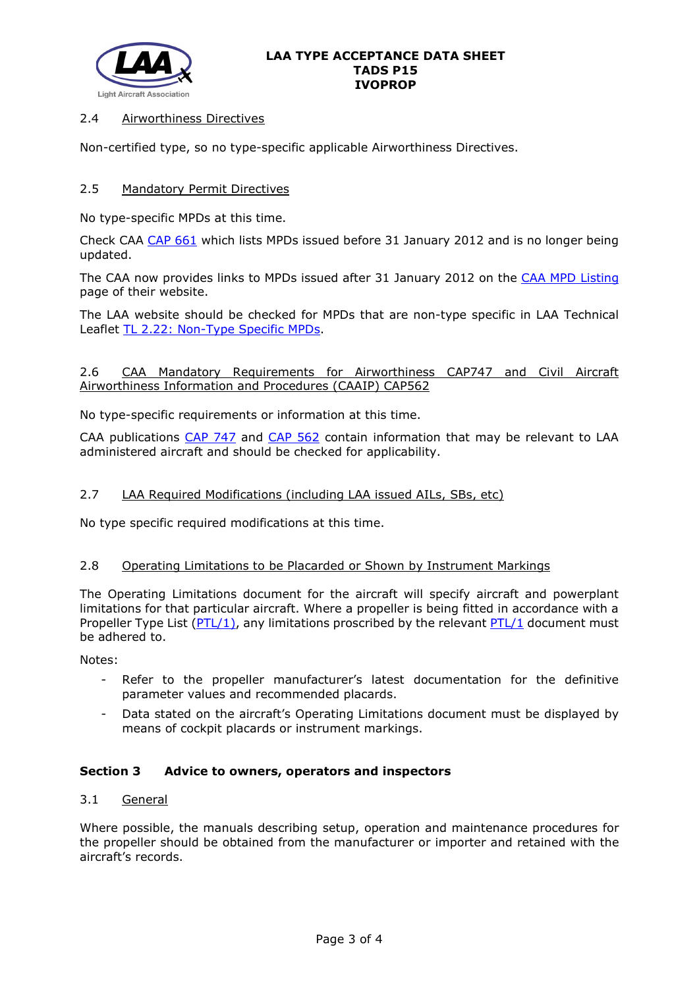

#### **LAA TYPE ACCEPTANCE DATA SHEET TADS P15 IVOPROP**

## 2.4 Airworthiness Directives

Non-certified type, so no type-specific applicable Airworthiness Directives.

## 2.5 Mandatory Permit Directives

No type-specific MPDs at this time.

Check CAA [CAP 661](http://www.caa.co.uk/cap661) which lists MPDs issued before 31 January 2012 and is no longer being updated.

The CAA now provides links to MPDs issued after 31 January 2012 on the [CAA MPD Listing](http://publicapps.caa.co.uk/modalapplication.aspx?appid=11&mode=list&type=sercat&id=55) page of their website.

The LAA website should be checked for MPDs that are non-type specific in LAA Technical Leaflet [TL 2.22: Non-Type Specific MPDs.](http://www.lightaircraftassociation.co.uk/engineering/TechnicalLeaflets/Operating%20An%20Aircraft/TL%202.22%20non-type%20specific%20MPDs.pdf)

## 2.6 CAA Mandatory Requirements for Airworthiness CAP747 and Civil Aircraft Airworthiness Information and Procedures (CAAIP) CAP562

No type-specific requirements or information at this time.

CAA publications [CAP 747](http://www.caa.co.uk/CAP747) and [CAP 562](http://www.caa.co.uk/CAP562) contain information that may be relevant to LAA administered aircraft and should be checked for applicability.

## 2.7 LAA Required Modifications (including LAA issued AILs, SBs, etc)

No type specific required modifications at this time.

## 2.8 Operating Limitations to be Placarded or Shown by Instrument Markings

The Operating Limitations document for the aircraft will specify aircraft and powerplant limitations for that particular aircraft. Where a propeller is being fitted in accordance with a Propeller Type List [\(PTL/1\)](http://www.lightaircraftassociation.co.uk/engineering/NewMods/PTL.html), any limitations proscribed by the relevant [PTL/1](http://www.lightaircraftassociation.co.uk/engineering/NewMods/PTL.html) document must be adhered to.

Notes:

- Refer to the propeller manufacturer's latest documentation for the definitive parameter values and recommended placards.
- Data stated on the aircraft's Operating Limitations document must be displayed by means of cockpit placards or instrument markings.

## **Section 3 Advice to owners, operators and inspectors**

## 3.1 General

Where possible, the manuals describing setup, operation and maintenance procedures for the propeller should be obtained from the manufacturer or importer and retained with the aircraft's records.